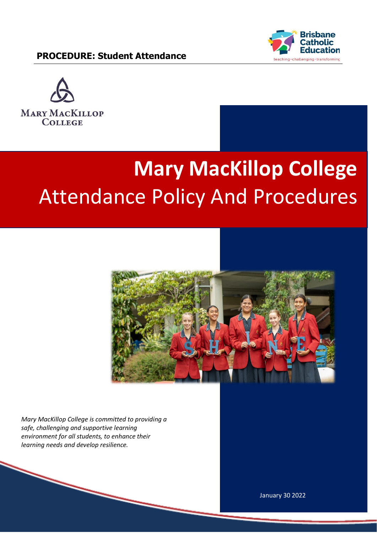



# **Mary MacKillop College**  Attendance Policy And Procedures



*Mary MacKillop College is committed to providing a safe, challenging and supportive learning environment for all students, to enhance their learning needs and develop resilience.* 

January 30 2022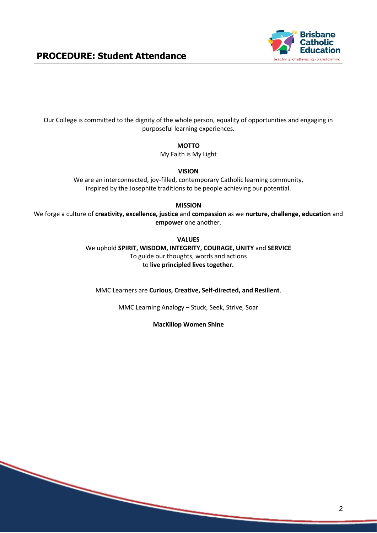

Our College is committed to the dignity of the whole person, equality of opportunities and engaging in purposeful learning experiences.

**MOTTO**

My Faith is My Light

**VISION**

We are an interconnected, joy-filled, contemporary Catholic learning community, inspired by the Josephite traditions to be people achieving our potential.

**MISSION**

We forge a culture of **creativity, excellence, justice** and **compassion** as we **nurture, challenge, education** and **empower** one another.

**VALUES**

We uphold **SPIRIT, WISDOM, INTEGRITY, COURAGE, UNITY** and **SERVICE** To guide our thoughts, words and actions to **live principled lives together.**

MMC Learners are **Curious, Creative, Self-directed, and Resilient**.

MMC Learning Analogy – Stuck, Seek, Strive, Soar

**MacKillop Women Shine**

2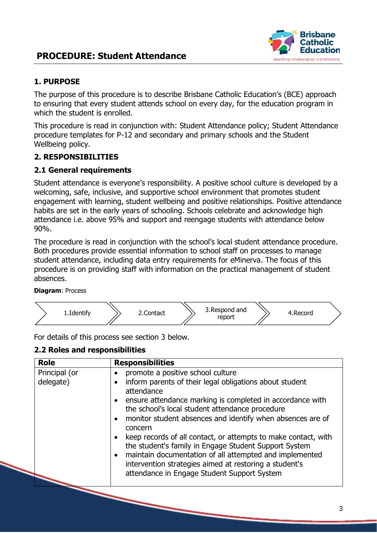

#### **1. PURPOSE**

The purpose of this procedure is to describe Brisbane Catholic Education's (BCE) approach to ensuring that every student attends school on every day, for the education program in which the student is enrolled.

This procedure is read in conjunction with: Student Attendance policy; Student Attendance procedure templates for P-12 and secondary and primary schools and the Student Wellbeing policy.

#### **2. RESPONSIBILITIES**

#### **2.1 General requirements**

Student attendance is everyone's responsibility. A positive school culture is developed by a welcoming, safe, inclusive, and supportive school environment that promotes student engagement with learning, student wellbeing and positive relationships. Positive attendance habits are set in the early years of schooling. Schools celebrate and acknowledge high attendance i.e. above 95% and support and reengage students with attendance below 90%.

The procedure is read in conjunction with the school's local student attendance procedure. Both procedures provide essential information to school staff on processes to manage student attendance, including data entry requirements for eMinerva. The focus of this procedure is on providing staff with information on the practical management of student absences.

**Diagram**: Process



For details of this process see section 3 below.

#### **2.2 Roles and responsibilities**

| <b>Role</b>                | <b>Responsibilities</b>                                                                                                                                                                                                                                                                                                                                                                                                                                                                                                                                                                                                                                |
|----------------------------|--------------------------------------------------------------------------------------------------------------------------------------------------------------------------------------------------------------------------------------------------------------------------------------------------------------------------------------------------------------------------------------------------------------------------------------------------------------------------------------------------------------------------------------------------------------------------------------------------------------------------------------------------------|
| Principal (or<br>delegate) | promote a positive school culture<br>inform parents of their legal obligations about student<br>$\bullet$<br>attendance<br>ensure attendance marking is completed in accordance with<br>$\bullet$<br>the school's local student attendance procedure<br>monitor student absences and identify when absences are of<br>$\bullet$<br>concern<br>keep records of all contact, or attempts to make contact, with<br>the student's family in Engage Student Support System<br>maintain documentation of all attempted and implemented<br>$\bullet$<br>intervention strategies aimed at restoring a student's<br>attendance in Engage Student Support System |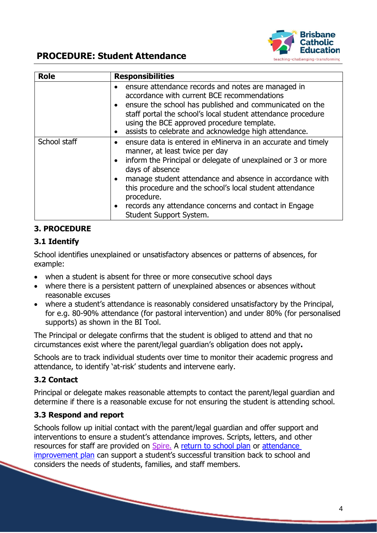

| <b>Role</b>  | <b>Responsibilities</b>                                                                                                                                                                                                                                                                                                                                                                                       |
|--------------|---------------------------------------------------------------------------------------------------------------------------------------------------------------------------------------------------------------------------------------------------------------------------------------------------------------------------------------------------------------------------------------------------------------|
|              | ensure attendance records and notes are managed in<br>accordance with current BCE recommendations<br>• ensure the school has published and communicated on the<br>staff portal the school's local student attendance procedure<br>using the BCE approved procedure template.<br>assists to celebrate and acknowledge high attendance.                                                                         |
| School staff | ensure data is entered in eMinerva in an accurate and timely<br>manner, at least twice per day<br>• inform the Principal or delegate of unexplained or 3 or more<br>days of absence<br>manage student attendance and absence in accordance with<br>this procedure and the school's local student attendance<br>procedure.<br>records any attendance concerns and contact in Engage<br>Student Support System. |

#### **3. PROCEDURE**

#### **3.1 Identify**

School identifies unexplained or unsatisfactory absences or patterns of absences, for example:

- when a student is absent for three or more consecutive school days
- where there is a persistent pattern of unexplained absences or absences without reasonable excuses
- where a student's attendance is reasonably considered unsatisfactory by the Principal, for e.g. 80-90% attendance (for pastoral intervention) and under 80% (for personalised supports) as shown in the BI Tool.

The Principal or delegate confirms that the student is obliged to attend and that no circumstances exist where the parent/legal guardian's obligation does not apply**.**

Schools are to track individual students over time to monitor their academic progress and attendance, to identify 'at-risk' students and intervene early.

#### **3.2 Contact**

Principal or delegate makes reasonable attempts to contact the parent/legal guardian and determine if there is a reasonable excuse for not ensuring the student is attending school.

#### **3.3 Respond and report**

Schools follow up initial contact with the parent/legal guardian and offer support and interventions to ensure a student's attendance improves. Scripts, letters, and other resources for staff are provided on [Spire.](https://mybcecatholicedu.sharepoint.com/learning-and-teaching/SitePages/Student-attendance.aspx?web=1) A [return to school plan](https://mybcecatholicedu.sharepoint.com/:w:/r/policies-and-procedures/_layouts/15/Doc.aspx?sourcedoc=%7B7FDD4EAD-0589-4894-B790-D80B4A61775B%7D&file=Student%20Attendence%20procedure_Return%20to%20School%20Student%20Support%20Plan%20template.docx&action=default&mobileredirect=true) or [attendance](https://mybcecatholicedu.sharepoint.com/:w:/r/policies-and-procedures/_layouts/15/Doc.aspx?sourcedoc=%7B6698B2F3-9DB7-4BDD-9E4A-795060F57098%7D&file=Student%20Attendance%20procedure_Student%20Attendance%20Improvement%20Plan%20template.docx&action=default&mobileredirect=true) [improvement plan](https://mybcecatholicedu.sharepoint.com/:w:/r/policies-and-procedures/_layouts/15/Doc.aspx?sourcedoc=%7B6698B2F3-9DB7-4BDD-9E4A-795060F57098%7D&file=Student%20Attendance%20procedure_Student%20Attendance%20Improvement%20Plan%20template.docx&action=default&mobileredirect=true) can support a student's successful transition back to school and considers the needs of students, families, and staff members.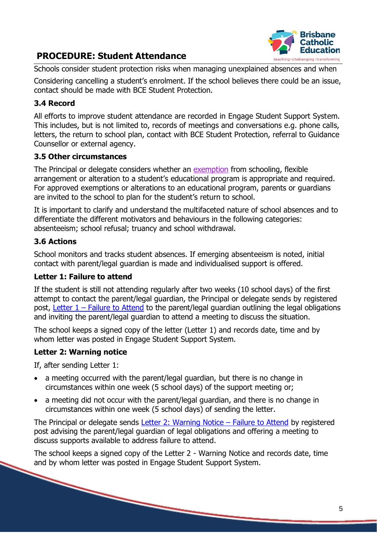

Schools consider student protection risks when managing unexplained absences and when

Considering cancelling a student's enrolment. If the school believes there could be an issue, contact should be made with BCE Student Protection.

#### **3.4 Record**

All efforts to improve student attendance are recorded in Engage Student Support System. This includes, but is not limited to, records of meetings and conversations e.g. phone calls, letters, the return to school plan, contact with BCE Student Protection, referral to Guidance Counsellor or external agency.

#### **3.5 Other circumstances**

The Principal or delegate considers whether an [exemption](https://mybcecatholicedu.sharepoint.com/learning-and-teaching/SitePages/Student-attendance.aspx?web=1&linkToHeading0) from schooling, flexible arrangement or alteration to a student's educational program is appropriate and required. For approved exemptions or alterations to an educational program, parents or guardians are invited to the school to plan for the student's return to school.

It is important to clarify and understand the multifaceted nature of school absences and to differentiate the different motivators and behaviours in the following categories: absenteeism; school refusal; truancy and school withdrawal.

#### **3.6 Actions**

School monitors and tracks student absences. If emerging absenteeism is noted, initial contact with parent/legal guardian is made and individualised support is offered.

#### **Letter 1: Failure to attend**

If the student is still not attending regularly after two weeks (10 school days) of the first attempt to contact the parent/legal guardian, the Principal or delegate sends by registered post, Letter  $1$  – [Failure to Attend](https://mybcecatholicedu.sharepoint.com/:w:/r/policies-and-procedures/_layouts/15/Doc.aspx?sourcedoc=%7B2CC70FF5-592B-4CF2-B209-8EA30A2D0747%7D&file=Student%20Attendance%20procedure_Letter%201_Failure%20to%20Attend.docx&action=default&mobileredirect=true) to the parent/legal guardian outlining the legal obligations and inviting the parent/legal guardian to attend a meeting to discuss the situation.

The school keeps a signed copy of the letter (Letter 1) and records date, time and by whom letter was posted in Engage Student Support System.

### **Letter 2: Warning notice**

If, after sending Letter 1:

- a meeting occurred with the parent/legal guardian, but there is no change in circumstances within one week (5 school days) of the support meeting or;
- a meeting did not occur with the parent/legal guardian, and there is no change in circumstances within one week (5 school days) of sending the letter.

The Principal or delegate sends [Letter 2: Warning Notice](https://mybcecatholicedu.sharepoint.com/:w:/r/policies-and-procedures/_layouts/15/Doc.aspx?sourcedoc=%7B887D4B60-F0E7-43AD-AAA0-0D744336CF7A%7D&file=Student%20Attendance%20procedure_Letter%202_Warning%20Notice_Failure%20to%20Attend.docx&action=default&mobileredirect=true) – Failure to Attend by registered post advising the parent/legal guardian of legal obligations and offering a meeting to discuss supports available to address failure to attend.

The school keeps a signed copy of the Letter 2 - Warning Notice and records date, time and by whom letter was posted in Engage Student Support System.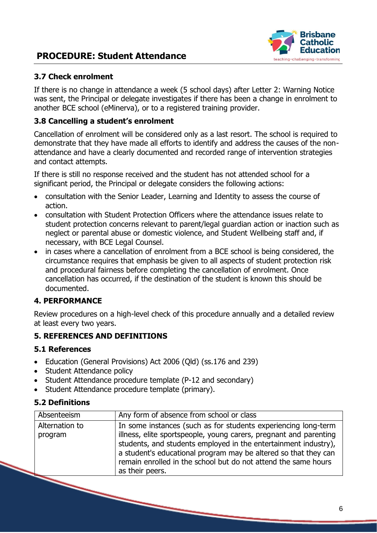

#### **3.7 Check enrolment**

If there is no change in attendance a week (5 school days) after Letter 2: Warning Notice was sent, the Principal or delegate investigates if there has been a change in enrolment to another BCE school (eMinerva), or to a registered training provider.

#### **3.8 Cancelling a student's enrolment**

Cancellation of enrolment will be considered only as a last resort. The school is required to demonstrate that they have made all efforts to identify and address the causes of the nonattendance and have a clearly documented and recorded range of intervention strategies and contact attempts.

If there is still no response received and the student has not attended school for a significant period, the Principal or delegate considers the following actions:

- consultation with the Senior Leader, Learning and Identity to assess the course of action.
- consultation with Student Protection Officers where the attendance issues relate to student protection concerns relevant to parent/legal guardian action or inaction such as neglect or parental abuse or domestic violence, and Student Wellbeing staff and, if necessary, with BCE Legal Counsel.
- in cases where a cancellation of enrolment from a BCE school is being considered, the circumstance requires that emphasis be given to all aspects of student protection risk and procedural fairness before completing the cancellation of enrolment. Once cancellation has occurred, if the destination of the student is known this should be documented.

#### **4. PERFORMANCE**

Review procedures on a high-level check of this procedure annually and a detailed review at least every two years.

#### **5. REFERENCES AND DEFINITIONS**

#### **5.1 References**

- Education (General Provisions) Act 2006 (Qld) (ss.176 and 239)
- Student Attendance policy
- Student Attendance procedure template (P-12 and secondary)
- Student Attendance procedure template (primary).

#### **5.2 Definitions**

| Absenteeism               | Any form of absence from school or class                                                                                                                                                                                                                                                                                                                       |
|---------------------------|----------------------------------------------------------------------------------------------------------------------------------------------------------------------------------------------------------------------------------------------------------------------------------------------------------------------------------------------------------------|
| Alternation to<br>program | In some instances (such as for students experiencing long-term<br>illness, elite sportspeople, young carers, pregnant and parenting<br>students, and students employed in the entertainment industry),<br>a student's educational program may be altered so that they can<br>remain enrolled in the school but do not attend the same hours<br>as their peers. |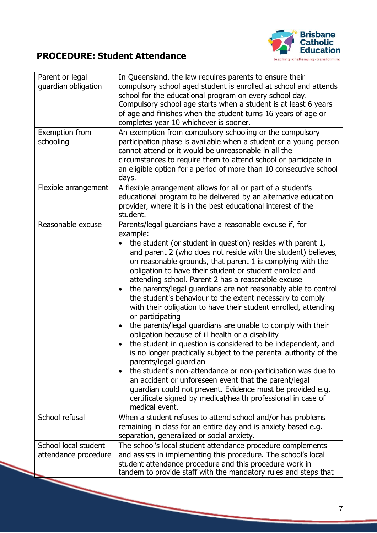

| Parent or legal<br>guardian obligation       | In Queensland, the law requires parents to ensure their<br>compulsory school aged student is enrolled at school and attends<br>school for the educational program on every school day.<br>Compulsory school age starts when a student is at least 6 years<br>of age and finishes when the student turns 16 years of age or<br>completes year 10 whichever is sooner.                                                                                                                                                                                                                                                                                                                                                                                                                                                                                                                                                                                                                                                                                                                                                                                                  |
|----------------------------------------------|-----------------------------------------------------------------------------------------------------------------------------------------------------------------------------------------------------------------------------------------------------------------------------------------------------------------------------------------------------------------------------------------------------------------------------------------------------------------------------------------------------------------------------------------------------------------------------------------------------------------------------------------------------------------------------------------------------------------------------------------------------------------------------------------------------------------------------------------------------------------------------------------------------------------------------------------------------------------------------------------------------------------------------------------------------------------------------------------------------------------------------------------------------------------------|
| Exemption from<br>schooling                  | An exemption from compulsory schooling or the compulsory<br>participation phase is available when a student or a young person<br>cannot attend or it would be unreasonable in all the<br>circumstances to require them to attend school or participate in<br>an eligible option for a period of more than 10 consecutive school<br>days.                                                                                                                                                                                                                                                                                                                                                                                                                                                                                                                                                                                                                                                                                                                                                                                                                              |
| Flexible arrangement                         | A flexible arrangement allows for all or part of a student's<br>educational program to be delivered by an alternative education<br>provider, where it is in the best educational interest of the<br>student.                                                                                                                                                                                                                                                                                                                                                                                                                                                                                                                                                                                                                                                                                                                                                                                                                                                                                                                                                          |
| Reasonable excuse                            | Parents/legal guardians have a reasonable excuse if, for<br>example:<br>the student (or student in question) resides with parent 1,<br>and parent 2 (who does not reside with the student) believes,<br>on reasonable grounds, that parent 1 is complying with the<br>obligation to have their student or student enrolled and<br>attending school. Parent 2 has a reasonable excuse<br>the parents/legal guardians are not reasonably able to control<br>the student's behaviour to the extent necessary to comply<br>with their obligation to have their student enrolled, attending<br>or participating<br>the parents/legal guardians are unable to comply with their<br>obligation because of ill health or a disability<br>the student in question is considered to be independent, and<br>is no longer practically subject to the parental authority of the<br>parents/legal guardian<br>the student's non-attendance or non-participation was due to<br>an accident or unforeseen event that the parent/legal<br>guardian could not prevent. Evidence must be provided e.g.<br>certificate signed by medical/health professional in case of<br>medical event. |
| School refusal                               | When a student refuses to attend school and/or has problems<br>remaining in class for an entire day and is anxiety based e.g.<br>separation, generalized or social anxiety.                                                                                                                                                                                                                                                                                                                                                                                                                                                                                                                                                                                                                                                                                                                                                                                                                                                                                                                                                                                           |
| School local student<br>attendance procedure | The school's local student attendance procedure complements<br>and assists in implementing this procedure. The school's local<br>student attendance procedure and this procedure work in<br>tandem to provide staff with the mandatory rules and steps that                                                                                                                                                                                                                                                                                                                                                                                                                                                                                                                                                                                                                                                                                                                                                                                                                                                                                                           |